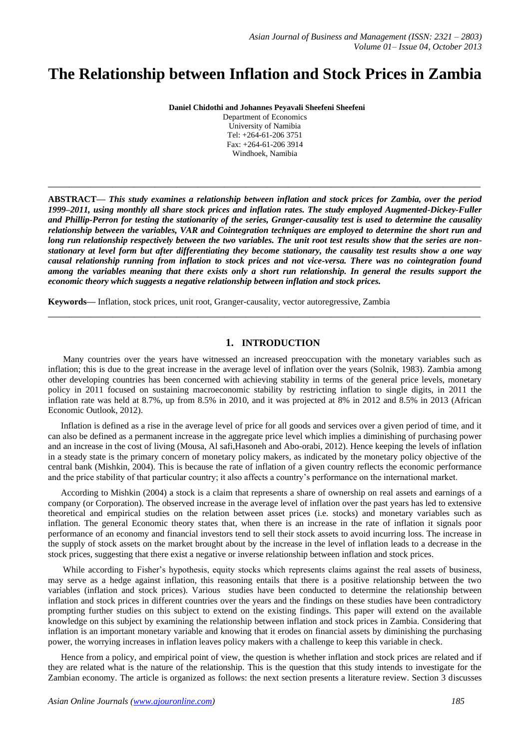# **The Relationship between Inflation and Stock Prices in Zambia**

**Daniel Chidothi and Johannes Peyavali Sheefeni Sheefeni**

Department of Economics University of Namibia Tel: +264-61-206 3751 Fax: +264-61-206 3914 Windhoek, Namibia

**\_\_\_\_\_\_\_\_\_\_\_\_\_\_\_\_\_\_\_\_\_\_\_\_\_\_\_\_\_\_\_\_\_\_\_\_\_\_\_\_\_\_\_\_\_\_\_\_\_\_\_\_\_\_\_\_\_\_\_\_\_\_\_\_\_\_\_\_\_\_\_\_\_\_\_\_\_\_\_\_\_**

**ABSTRACT—** *This study examines a relationship between inflation and stock prices for Zambia, over the period 1999–2011, using monthly all share stock prices and inflation rates. The study employed Augmented-Dickey-Fuller and Phillip-Perron for testing the stationarity of the series, Granger-causality test is used to determine the causality relationship between the variables, VAR and Cointegration techniques are employed to determine the short run and long run relationship respectively between the two variables. The unit root test results show that the series are nonstationary at level form but after differentiating they become stationary, the causality test results show a one way causal relationship running from inflation to stock prices and not vice-versa. There was no cointegration found among the variables meaning that there exists only a short run relationship. In general the results support the economic theory which suggests a negative relationship between inflation and stock prices.* 

**Keywords—** Inflation, stock prices, unit root, Granger-causality, vector autoregressive, Zambia

# **1. INTRODUCTION**

**\_\_\_\_\_\_\_\_\_\_\_\_\_\_\_\_\_\_\_\_\_\_\_\_\_\_\_\_\_\_\_\_\_\_\_\_\_\_\_\_\_\_\_\_\_\_\_\_\_\_\_\_\_\_\_\_\_\_\_\_\_\_\_\_\_\_\_\_\_\_\_\_\_\_\_\_\_\_\_\_\_**

Many countries over the years have witnessed an increased preoccupation with the monetary variables such as inflation; this is due to the great increase in the average level of inflation over the years (Solnik, 1983). Zambia among other developing countries has been concerned with achieving stability in terms of the general price levels, monetary policy in 2011 focused on sustaining macroeconomic stability by restricting inflation to single digits, in 2011 the inflation rate was held at 8.7%, up from 8.5% in 2010, and it was projected at 8% in 2012 and 8.5% in 2013 (African Economic Outlook, 2012).

Inflation is defined as a rise in the average level of price for all goods and services over a given period of time, and it can also be defined as a permanent increase in the aggregate price level which implies a diminishing of purchasing power and an increase in the cost of living (Mousa, Al safi,Hasoneh and Abo-orabi, 2012). Hence keeping the levels of inflation in a steady state is the primary concern of monetary policy makers, as indicated by the monetary policy objective of the central bank (Mishkin, 2004). This is because the rate of inflation of a given country reflects the economic performance and the price stability of that particular country; it also affects a country's performance on the international market.

According to Mishkin (2004) a stock is a claim that represents a share of ownership on real assets and earnings of a company (or Corporation). The observed increase in the average level of inflation over the past years has led to extensive theoretical and empirical studies on the relation between asset prices (i.e. stocks) and monetary variables such as inflation. The general Economic theory states that, when there is an increase in the rate of inflation it signals poor performance of an economy and financial investors tend to sell their stock assets to avoid incurring loss. The increase in the supply of stock assets on the market brought about by the increase in the level of inflation leads to a decrease in the stock prices, suggesting that there exist a negative or inverse relationship between inflation and stock prices.

While according to Fisher's hypothesis, equity stocks which represents claims against the real assets of business, may serve as a hedge against inflation, this reasoning entails that there is a positive relationship between the two variables (inflation and stock prices). Various studies have been conducted to determine the relationship between inflation and stock prices in different countries over the years and the findings on these studies have been contradictory prompting further studies on this subject to extend on the existing findings. This paper will extend on the available knowledge on this subject by examining the relationship between inflation and stock prices in Zambia. Considering that inflation is an important monetary variable and knowing that it erodes on financial assets by diminishing the purchasing power, the worrying increases in inflation leaves policy makers with a challenge to keep this variable in check.

Hence from a policy, and empirical point of view, the question is whether inflation and stock prices are related and if they are related what is the nature of the relationship. This is the question that this study intends to investigate for the Zambian economy. The article is organized as follows: the next section presents a literature review. Section 3 discusses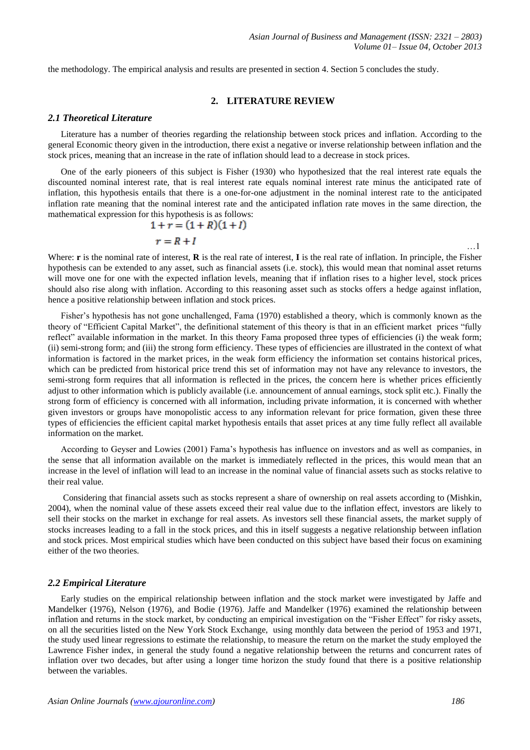the methodology. The empirical analysis and results are presented in section 4. Section 5 concludes the study.

### **2. LITERATURE REVIEW**

#### *2.1 Theoretical Literature*

Literature has a number of theories regarding the relationship between stock prices and inflation. According to the general Economic theory given in the introduction, there exist a negative or inverse relationship between inflation and the stock prices, meaning that an increase in the rate of inflation should lead to a decrease in stock prices.

One of the early pioneers of this subject is Fisher (1930) who hypothesized that the real interest rate equals the discounted nominal interest rate, that is real interest rate equals nominal interest rate minus the anticipated rate of inflation, this hypothesis entails that there is a one-for-one adjustment in the nominal interest rate to the anticipated inflation rate meaning that the nominal interest rate and the anticipated inflation rate moves in the same direction, the mathematical expression for this hypothesis is as follows:

$$
1 + r = (1 + R)(1 + I)
$$
  

$$
r = R + I
$$
...1

Where: **r** is the nominal rate of interest, **R** is the real rate of interest, **I** is the real rate of inflation. In principle, the Fisher hypothesis can be extended to any asset, such as financial assets (i.e. stock), this would mean that nominal asset returns will move one for one with the expected inflation levels, meaning that if inflation rises to a higher level, stock prices should also rise along with inflation. According to this reasoning asset such as stocks offers a hedge against inflation, hence a positive relationship between inflation and stock prices.

Fisher's hypothesis has not gone unchallenged, Fama (1970) established a theory, which is commonly known as the theory of "Efficient Capital Market", the definitional statement of this theory is that in an efficient market prices "fully reflect" available information in the market. In this theory Fama proposed three types of efficiencies (i) the weak form; (ii) semi-strong form; and (iii) the strong form efficiency. These types of efficiencies are illustrated in the context of what information is factored in the market prices, in the weak form efficiency the information set contains historical prices, which can be predicted from historical price trend this set of information may not have any relevance to investors, the semi-strong form requires that all information is reflected in the prices, the concern here is whether prices efficiently adjust to other information which is publicly available (i.e. announcement of annual earnings, stock split etc.). Finally the strong form of efficiency is concerned with all information, including private information, it is concerned with whether given investors or groups have monopolistic access to any information relevant for price formation, given these three types of efficiencies the efficient capital market hypothesis entails that asset prices at any time fully reflect all available information on the market.

According to Geyser and Lowies (2001) Fama's hypothesis has influence on investors and as well as companies, in the sense that all information available on the market is immediately reflected in the prices, this would mean that an increase in the level of inflation will lead to an increase in the nominal value of financial assets such as stocks relative to their real value.

Considering that financial assets such as stocks represent a share of ownership on real assets according to (Mishkin, 2004), when the nominal value of these assets exceed their real value due to the inflation effect, investors are likely to sell their stocks on the market in exchange for real assets. As investors sell these financial assets, the market supply of stocks increases leading to a fall in the stock prices, and this in itself suggests a negative relationship between inflation and stock prices. Most empirical studies which have been conducted on this subject have based their focus on examining either of the two theories.

#### *2.2 Empirical Literature*

Early studies on the empirical relationship between inflation and the stock market were investigated by Jaffe and Mandelker (1976), Nelson (1976), and Bodie (1976). Jaffe and Mandelker (1976) examined the relationship between inflation and returns in the stock market, by conducting an empirical investigation on the "Fisher Effect" for risky assets, on all the securities listed on the New York Stock Exchange, using monthly data between the period of 1953 and 1971, the study used linear regressions to estimate the relationship, to measure the return on the market the study employed the Lawrence Fisher index, in general the study found a negative relationship between the returns and concurrent rates of inflation over two decades, but after using a longer time horizon the study found that there is a positive relationship between the variables.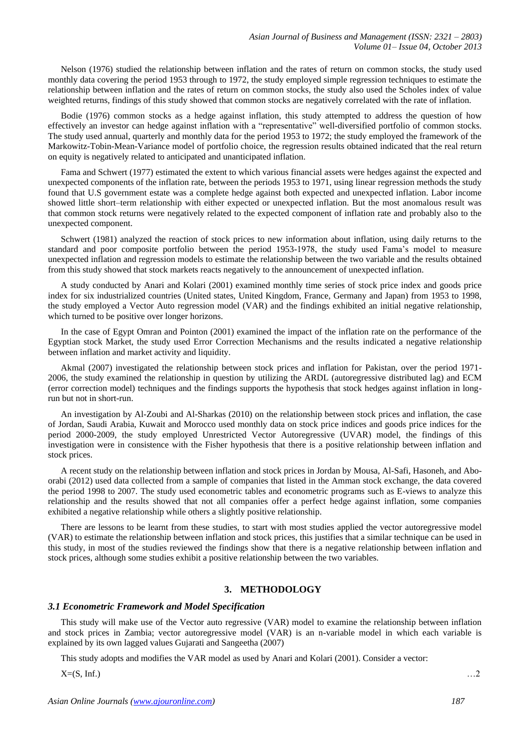Nelson (1976) studied the relationship between inflation and the rates of return on common stocks, the study used monthly data covering the period 1953 through to 1972, the study employed simple regression techniques to estimate the relationship between inflation and the rates of return on common stocks, the study also used the Scholes index of value weighted returns, findings of this study showed that common stocks are negatively correlated with the rate of inflation.

Bodie (1976) common stocks as a hedge against inflation, this study attempted to address the question of how effectively an investor can hedge against inflation with a "representative" well-diversified portfolio of common stocks. The study used annual, quarterly and monthly data for the period 1953 to 1972; the study employed the framework of the Markowitz-Tobin-Mean-Variance model of portfolio choice, the regression results obtained indicated that the real return on equity is negatively related to anticipated and unanticipated inflation.

Fama and Schwert (1977) estimated the extent to which various financial assets were hedges against the expected and unexpected components of the inflation rate, between the periods 1953 to 1971, using linear regression methods the study found that U.S government estate was a complete hedge against both expected and unexpected inflation. Labor income showed little short–term relationship with either expected or unexpected inflation. But the most anomalous result was that common stock returns were negatively related to the expected component of inflation rate and probably also to the unexpected component.

Schwert (1981) analyzed the reaction of stock prices to new information about inflation, using daily returns to the standard and poor composite portfolio between the period 1953-1978, the study used Fama's model to measure unexpected inflation and regression models to estimate the relationship between the two variable and the results obtained from this study showed that stock markets reacts negatively to the announcement of unexpected inflation.

A study conducted by Anari and Kolari (2001) examined monthly time series of stock price index and goods price index for six industrialized countries (United states, United Kingdom, France, Germany and Japan) from 1953 to 1998, the study employed a Vector Auto regression model (VAR) and the findings exhibited an initial negative relationship, which turned to be positive over longer horizons.

In the case of Egypt Omran and Pointon (2001) examined the impact of the inflation rate on the performance of the Egyptian stock Market, the study used Error Correction Mechanisms and the results indicated a negative relationship between inflation and market activity and liquidity.

Akmal (2007) investigated the relationship between stock prices and inflation for Pakistan, over the period 1971- 2006, the study examined the relationship in question by utilizing the ARDL (autoregressive distributed lag) and ECM (error correction model) techniques and the findings supports the hypothesis that stock hedges against inflation in longrun but not in short-run.

An investigation by Al-Zoubi and Al-Sharkas (2010) on the relationship between stock prices and inflation, the case of Jordan, Saudi Arabia, Kuwait and Morocco used monthly data on stock price indices and goods price indices for the period 2000-2009, the study employed Unrestricted Vector Autoregressive (UVAR) model, the findings of this investigation were in consistence with the Fisher hypothesis that there is a positive relationship between inflation and stock prices.

A recent study on the relationship between inflation and stock prices in Jordan by Mousa, Al-Safi, Hasoneh, and Aboorabi (2012) used data collected from a sample of companies that listed in the Amman stock exchange, the data covered the period 1998 to 2007. The study used econometric tables and econometric programs such as E-views to analyze this relationship and the results showed that not all companies offer a perfect hedge against inflation, some companies exhibited a negative relationship while others a slightly positive relationship.

There are lessons to be learnt from these studies, to start with most studies applied the vector autoregressive model (VAR) to estimate the relationship between inflation and stock prices, this justifies that a similar technique can be used in this study, in most of the studies reviewed the findings show that there is a negative relationship between inflation and stock prices, although some studies exhibit a positive relationship between the two variables.

## **3. METHODOLOGY**

## *3.1 Econometric Framework and Model Specification*

This study will make use of the Vector auto regressive (VAR) model to examine the relationship between inflation and stock prices in Zambia; vector autoregressive model (VAR) is an n-variable model in which each variable is explained by its own lagged values Gujarati and Sangeetha (2007)

This study adopts and modifies the VAR model as used by Anari and Kolari (2001). Consider a vector:

 $X=(S, Inf.)$  …2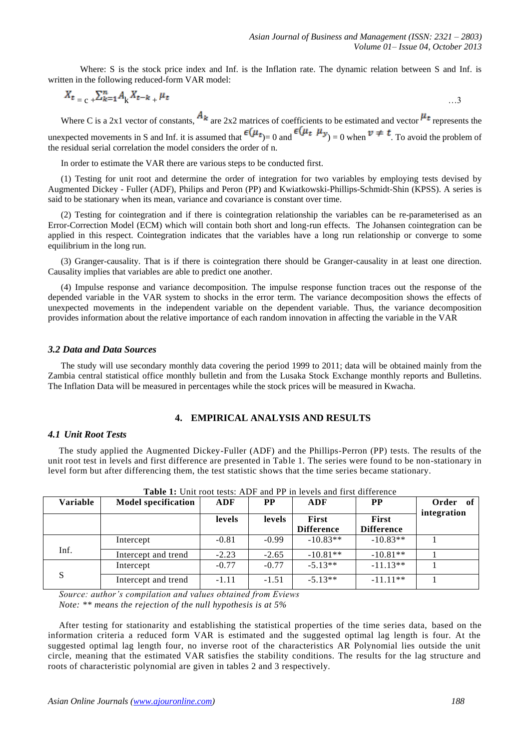Where: S is the stock price index and Inf. is the Inflation rate. The dynamic relation between S and Inf. is written in the following reduced-form VAR model:

$$
X_t = c + \sum_{k=1}^{n} A_k X_{t-k} + \mu_t
$$
 ...3

Where C is a 2x1 vector of constants,  $A_k$  are 2x2 matrices of coefficients to be estimated and vector  $\mu_t$  represents the unexpected movements in S and Inf. it is assumed that  $\epsilon(\mu_t, \mu_{\nu}) = 0$  and  $\epsilon(\mu_t, \mu_{\nu}) = 0$  when  $\nu \neq t$ . To avoid the problem of the residual serial correlation the model considers the order of n.

In order to estimate the VAR there are various steps to be conducted first.

(1) Testing for unit root and determine the order of integration for two variables by employing tests devised by Augmented Dickey - Fuller (ADF), Philips and Peron (PP) and Kwiatkowski-Phillips-Schmidt-Shin (KPSS). A series is said to be stationary when its mean, variance and covariance is constant over time.

(2) Testing for cointegration and if there is cointegration relationship the variables can be re-parameterised as an Error-Correction Model (ECM) which will contain both short and long-run effects. The Johansen cointegration can be applied in this respect. Cointegration indicates that the variables have a long run relationship or converge to some equilibrium in the long run.

(3) Granger-causality. That is if there is cointegration there should be Granger-causality in at least one direction. Causality implies that variables are able to predict one another.

(4) Impulse response and variance decomposition. The impulse response function traces out the response of the depended variable in the VAR system to shocks in the error term. The variance decomposition shows the effects of unexpected movements in the independent variable on the dependent variable. Thus, the variance decomposition provides information about the relative importance of each random innovation in affecting the variable in the VAR

## *3.2 Data and Data Sources*

The study will use secondary monthly data covering the period 1999 to 2011; data will be obtained mainly from the Zambia central statistical office monthly bulletin and from the Lusaka Stock Exchange monthly reports and Bulletins. The Inflation Data will be measured in percentages while the stock prices will be measured in Kwacha.

## **4. EMPIRICAL ANALYSIS AND RESULTS**

### *4.1 Unit Root Tests*

The study applied the Augmented Dickey-Fuller (ADF) and the Phillips-Perron (PP) tests. The results of the unit root test in levels and first difference are presented in Table 1. The series were found to be non-stationary in level form but after differencing them, the test statistic shows that the time series became stationary.

| Variable | <b>Model specification</b> | <b>ADF</b> | <b>PP</b> | ADF                               | <b>PP</b>                  | Order of    |
|----------|----------------------------|------------|-----------|-----------------------------------|----------------------------|-------------|
|          |                            | levels     | levels    | <b>First</b><br><b>Difference</b> | First<br><b>Difference</b> | integration |
|          | Intercept                  | $-0.81$    | $-0.99$   | $-10.83**$                        | $-10.83**$                 |             |
| Inf.     | Intercept and trend        | $-2.23$    | $-2.65$   | $-10.81**$                        | $-10.81**$                 |             |
|          | Intercept                  | $-0.77$    | $-0.77$   | $-5.13**$                         | $-11.13**$                 |             |
| S        | Intercept and trend        | $-1.11$    | $-1.51$   | $-5.13**$                         | $-11.11**$                 |             |

**Table 1:** Unit root tests: ADF and PP in levels and first difference

*Source: author's compilation and values obtained from Eviews Note: \*\* means the rejection of the null hypothesis is at 5%*

After testing for stationarity and establishing the statistical properties of the time series data, based on the information criteria a reduced form VAR is estimated and the suggested optimal lag length is four. At the suggested optimal lag length four, no inverse root of the characteristics AR Polynomial lies outside the unit circle, meaning that the estimated VAR satisfies the stability conditions. The results for the lag structure and roots of characteristic polynomial are given in tables 2 and 3 respectively.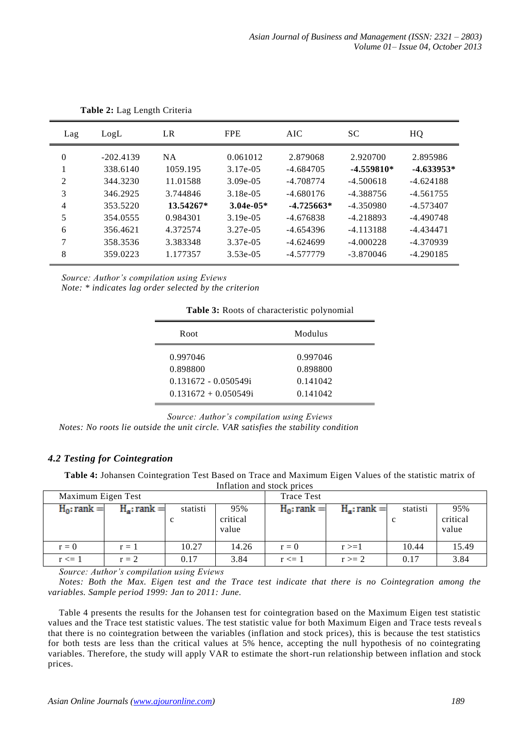| Lag            | LogL        | LR          | <b>FPE</b>  | AIC          | <b>SC</b>    | HQ           |
|----------------|-------------|-------------|-------------|--------------|--------------|--------------|
| $\theta$       | $-202.4139$ | <b>NA</b>   | 0.061012    | 2.879068     | 2.920700     | 2.895986     |
|                | 338.6140    | 1059.195    | 3.17e-05    | -4.684705    | $-4.559810*$ | $-4.633953*$ |
| 2              | 344.3230    | 11.01588    | $3.09e-0.5$ | -4.708774    | $-4.500618$  | $-4.624188$  |
| 3              | 346.2925    | 3.744846    | $3.18e-05$  | $-4.680176$  | $-4.388756$  | $-4.561755$  |
| $\overline{4}$ | 353.5220    | $13.54267*$ | $3.04e-05*$ | $-4.725663*$ | $-4.350980$  | $-4.573407$  |
| 5              | 354.0555    | 0.984301    | $3.19e-0.5$ | $-4.676838$  | $-4.218893$  | $-4.490748$  |
| 6              | 356.4621    | 4.372574    | 3.27e-05    | $-4.654396$  | $-4.113188$  | -4.434471    |
| 7              | 358.3536    | 3.383348    | 3.37e-05    | $-4.624699$  | $-4.000228$  | $-4.370939$  |
| 8              | 359.0223    | 1.177357    | $3.53e-05$  | -4.577779    | $-3.870046$  | $-4.290185$  |

**Table 2:** Lag Length Criteria

*Source: Author's compilation using Eviews Note: \* indicates lag order selected by the criterion*

**Table 3:** Roots of characteristic polynomial

| Root                                                                      | Modulus                                      |  |
|---------------------------------------------------------------------------|----------------------------------------------|--|
| 0.997046<br>0.898800<br>$0.131672 - 0.050549$ i<br>$0.131672 + 0.050549i$ | 0.997046<br>0.898800<br>0.141042<br>0.141042 |  |

*Source: Author's compilation using Eviews*

*Notes: No roots lie outside the unit circle. VAR satisfies the stability condition*

# *4.2 Testing for Cointegration*

**Table 4:** Johansen Cointegration Test Based on Trace and Maximum Eigen Values of the statistic matrix of Inflation and stock prices

| Maximum Eigen Test |                |          |                          | <b>Trace Test</b> |                |               |                          |
|--------------------|----------------|----------|--------------------------|-------------------|----------------|---------------|--------------------------|
| $H_0$ : rank =     | $H_a$ : rank = | statisti | 95%<br>critical<br>value | $H_0$ : rank =    | $H_a$ : rank = | statisti<br>c | 95%<br>critical<br>value |
| $r = 0$            | $r = 1$        | 10.27    | 14.26                    | $r = 0$           | $r>=1$         | 10.44         | 15.49                    |
| $r \leq 1$         | $r = 2$        | 0.17     | 3.84                     | $r \leq 1$        | $r \geq 2$     | 0.17          | 3.84                     |

*Source: Author's compilation using Eviews* 

*Notes: Both the Max. Eigen test and the Trace test indicate that there is no Cointegration among the variables. Sample period 1999: Jan to 2011: June.*

Table 4 presents the results for the Johansen test for cointegration based on the Maximum Eigen test statistic values and the Trace test statistic values. The test statistic value for both Maximum Eigen and Trace tests reveals that there is no cointegration between the variables (inflation and stock prices), this is because the test statistics for both tests are less than the critical values at 5% hence, accepting the null hypothesis of no cointegrating variables. Therefore, the study will apply VAR to estimate the short-run relationship between inflation and stock prices.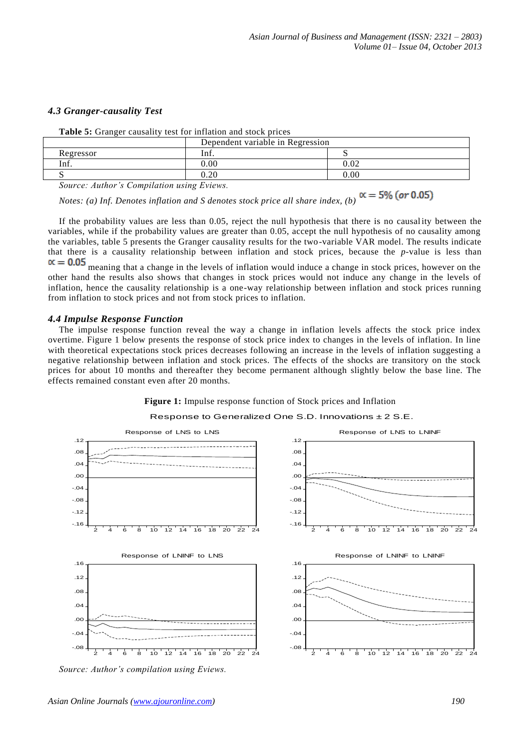## *4.3 Granger-causality Test*

|                                          | Dependent variable in Regression |      |  |  |  |
|------------------------------------------|----------------------------------|------|--|--|--|
| Regressor                                | Inf.                             |      |  |  |  |
| lnf.                                     | 00.ر                             | 0.02 |  |  |  |
|                                          | $\gamma$                         | 0.00 |  |  |  |
| Course Author's Compilation using Enjoys |                                  |      |  |  |  |

**Table 5:** Granger causality test for inflation and stock prices

*Source: Author's Compilation using Eviews.*

*Notes: (a) Inf. Denotes inflation and S denotes stock price all share index, (b)*  $\alpha = 5\%$  (or 0.05)

If the probability values are less than 0.05, reject the null hypothesis that there is no causal ity between the variables, while if the probability values are greater than 0.05, accept the null hypothesis of no causality among the variables, table 5 presents the Granger causality results for the two-variable VAR model. The results indicate that there is a causality relationship between inflation and stock prices, because the *p*-value is less than

 $\alpha = 0.05$  meaning that a change in the levels of inflation would induce a change in stock prices, however on the other hand the results also shows that changes in stock prices would not induce any change in the levels of inflation, hence the causality relationship is a one-way relationship between inflation and stock prices running from inflation to stock prices and not from stock prices to inflation.

## *4.4 Impulse Response Function*

The impulse response function reveal the way a change in inflation levels affects the stock price index overtime. Figure 1 below presents the response of stock price index to changes in the levels of inflation. In line with theoretical expectations stock prices decreases following an increase in the levels of inflation suggesting a negative relationship between inflation and stock prices. The effects of the shocks are transitory on the stock prices for about 10 months and thereafter they become permanent although slightly below the base line. The effects remained constant even after 20 months.



**Figure 1:** Impulse response function of Stock prices and Inflation

*Source: Author's compilation using Eviews.*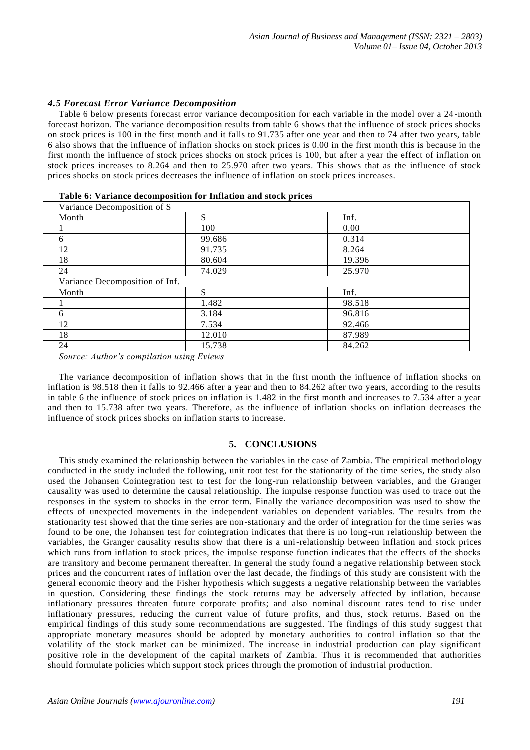## *4.5 Forecast Error Variance Decomposition*

Table 6 below presents forecast error variance decomposition for each variable in the model over a 24 -month forecast horizon. The variance decomposition results from table 6 shows that the influence of stock prices shocks on stock prices is 100 in the first month and it falls to 91.735 after one year and then to 74 after two years, table 6 also shows that the influence of inflation shocks on stock prices is 0.00 in the first month this is because in the first month the influence of stock prices shocks on stock prices is 100, but after a year the effect of inflation on stock prices increases to 8.264 and then to 25.970 after two years. This shows that as the influence of stock prices shocks on stock prices decreases the influence of inflation on stock prices increases.

| Variance Decomposition of S    |        |        |  |  |  |
|--------------------------------|--------|--------|--|--|--|
| Month                          | S      | Inf.   |  |  |  |
|                                | 100    | 0.00   |  |  |  |
| 6                              | 99.686 | 0.314  |  |  |  |
| 12                             | 91.735 | 8.264  |  |  |  |
| 18                             | 80.604 | 19.396 |  |  |  |
| 24                             | 74.029 | 25.970 |  |  |  |
| Variance Decomposition of Inf. |        |        |  |  |  |
| Month                          | S      | Inf.   |  |  |  |
|                                | 1.482  | 98.518 |  |  |  |
| 6                              | 3.184  | 96.816 |  |  |  |
| 12                             | 7.534  | 92.466 |  |  |  |
| 18                             | 12.010 | 87.989 |  |  |  |
| 24                             | 15.738 | 84.262 |  |  |  |

| Table 6: Variance decomposition for Inflation and stock prices |  |  |  |  |  |
|----------------------------------------------------------------|--|--|--|--|--|
|----------------------------------------------------------------|--|--|--|--|--|

*Source: Author's compilation using Eviews*

The variance decomposition of inflation shows that in the first month the influence of inflation shocks on inflation is 98.518 then it falls to 92.466 after a year and then to 84.262 after two years, according to the results in table 6 the influence of stock prices on inflation is 1.482 in the first month and increases to 7.534 after a year and then to 15.738 after two years. Therefore, as the influence of inflation shocks on inflation decreases the influence of stock prices shocks on inflation starts to increase.

## **5. CONCLUSIONS**

This study examined the relationship between the variables in the case of Zambia. The empirical method ology conducted in the study included the following, unit root test for the stationarity of the time series, the study also used the Johansen Cointegration test to test for the long-run relationship between variables, and the Granger causality was used to determine the causal relationship. The impulse response function was used to trace out the responses in the system to shocks in the error term. Finally the variance decomposition was used to show the effects of unexpected movements in the independent variables on dependent variables. The results from the stationarity test showed that the time series are non-stationary and the order of integration for the time series was found to be one, the Johansen test for cointegration indicates that there is no long -run relationship between the variables, the Granger causality results show that there is a uni-relationship between inflation and stock prices which runs from inflation to stock prices, the impulse response function indicates that the effects of the shocks are transitory and become permanent thereafter. In general the study found a negative relationship between stock prices and the concurrent rates of inflation over the last decade, the findings of this study are consistent with the general economic theory and the Fisher hypothesis which suggests a negative relationship between the variables in question. Considering these findings the stock returns may be adversely affected by inflation, because inflationary pressures threaten future corporate profits; and also nominal discount rates tend to rise under inflationary pressures, reducing the current value of future profits, and thus, stock returns. Based on the empirical findings of this study some recommendations are suggested. The findings of this study suggest that appropriate monetary measures should be adopted by monetary authorities to control inflation so that the volatility of the stock market can be minimized. The increase in industrial production can play significant positive role in the development of the capital markets of Zambia. Thus it is recommended that authorities should formulate policies which support stock prices through the promotion of industrial production.